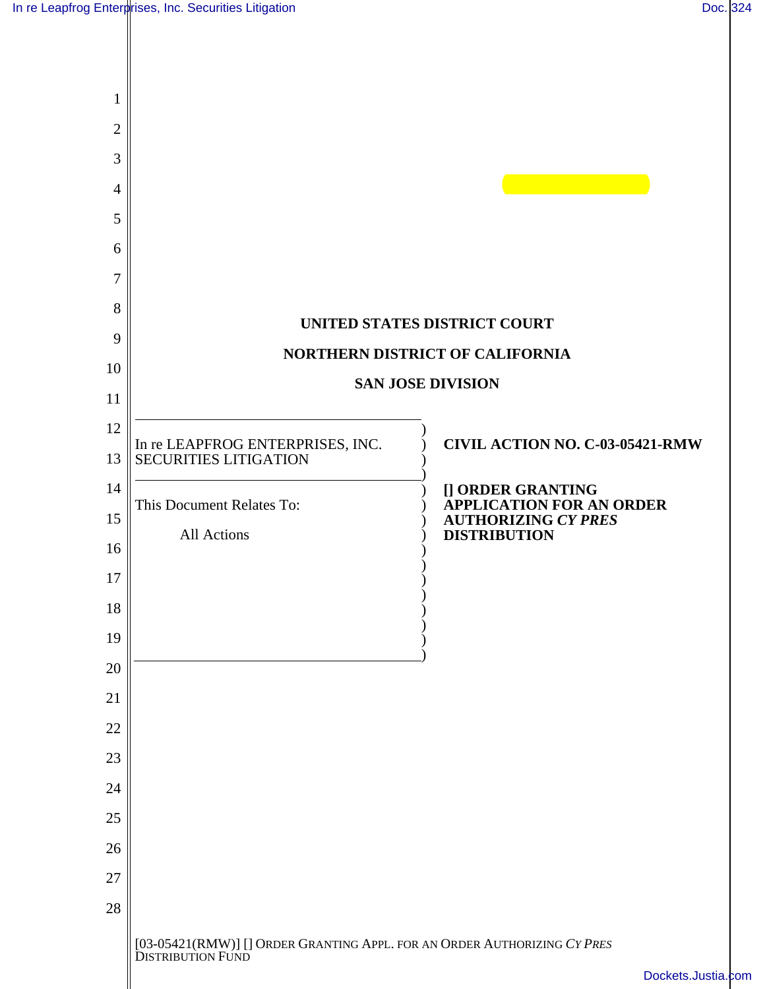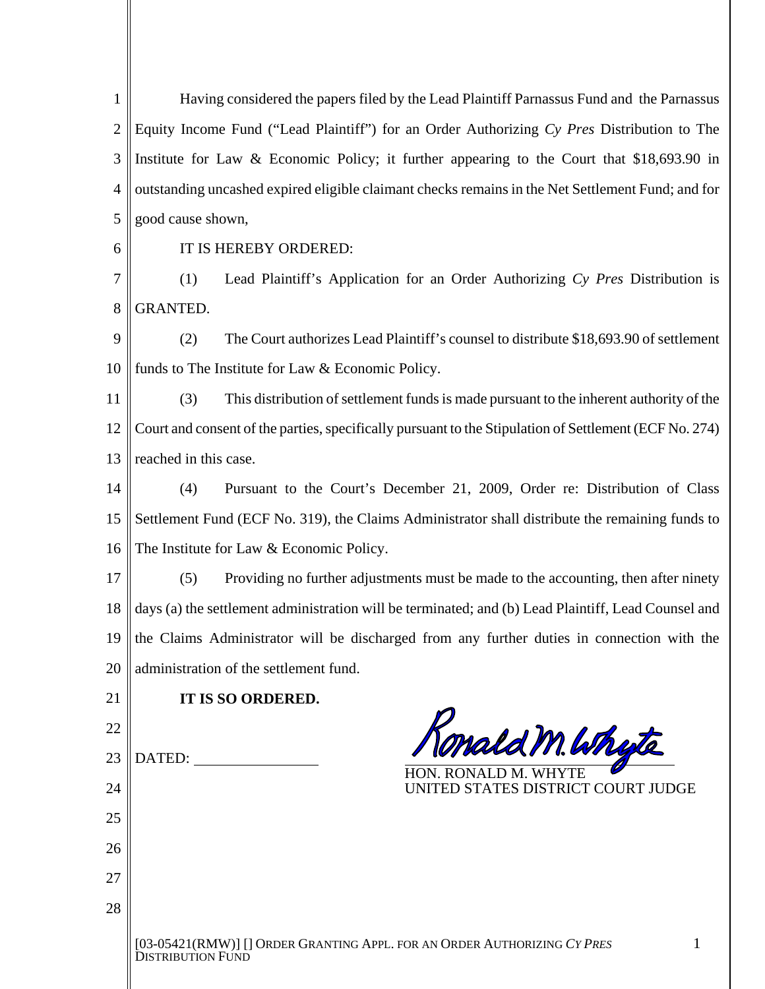1 Having considered the papers filed by the Lead Plaintiff Parnassus Fund and the Parnassus Equity Income Fund ("Lead Plaintiff") for an Order Authorizing *Cy Pres* Distribution to The 2 3 Institute for Law & Economic Policy; it further appearing to the Court that \$18,693.90 in outstanding uncashed expired eligible claimant checks remains in the Net Settlement Fund; and for 4 5 good cause shown, IT IS HEREBY ORDERED: 6 7 (1) Lead Plaintiff's Application for an Order Authorizing *Cy Pres* Distribution is 8 GRANTED. 9 (2) The Court authorizes Lead Plaintiff's counsel to distribute \$18,693.90 of settlement 10 funds to The Institute for Law & Economic Policy. 11 (3) This distribution of settlement funds is made pursuant to the inherent authority of the Court and consent of the parties, specifically pursuant to the Stipulation of Settlement (ECF No. 274) 12 reached in this case. 13 14 (4) Pursuant to the Court's December 21, 2009, Order re: Distribution of Class 15 Settlement Fund (ECF No. 319), the Claims Administrator shall distribute the remaining funds to 16 The Institute for Law & Economic Policy. 17 (5) Providing no further adjustments must be made to the accounting, then after ninety days (a) the settlement administration will be terminated; and (b) Lead Plaintiff, Lead Counsel and 18 19 the Claims Administrator will be discharged from any further duties in connection with the administration of the settlement fund. 20 21 **IT IS SO ORDERED.**  Yonald M. Whyte 22 23 DATED: HON. RONALD M. WHYTE 24 UNITED STATES DISTRICT COURT JUDGE 25 26 27 28 [03-05421(RMW)] [] ORDER GRANTING APPL. FOR AN ORDER AUTHORIZING *CY PRES*  1 DISTRIBUTION FUND